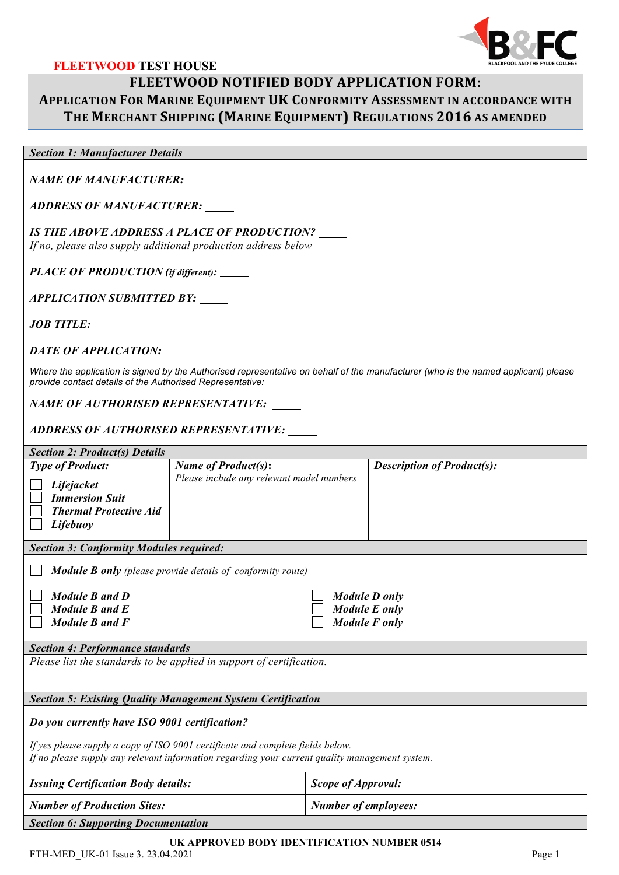

## **FLEETWOOD TEST HOUSE FLEETWOOD NOTIFIED BODY APPLICATION FORM: APPLICATION FOR MARINE EQUIPMENT UK CONFORMITY ASSESSMENT IN ACCORDANCE WITH** THE MERCHANT SHIPPING (MARINE EQUIPMENT) REGULATIONS 2016 AS AMENDED

## *Section 1: Manufacturer Details*

*NAME OF MANUFACTURER:*

*ADDRESS OF MANUFACTURER:*

*IS THE ABOVE ADDRESS A PLACE OF PRODUCTION? If no, please also supply additional production address below*

*PLACE OF PRODUCTION (if different):* 

*APPLICATION SUBMITTED BY:* 

*JOB TITLE:*

*DATE OF APPLICATION:*

*Where the application is signed by the Authorised representative on behalf of the manufacturer (who is the named applicant) please provide contact details of the Authorised Representative:* 

*NAME OF AUTHORISED REPRESENTATIVE:* 

*ADDRESS OF AUTHORISED REPRESENTATIVE:*

| <b>Section 2: Product(s) Details</b>                                                                                                                                                                                              |                                                                         |                             |                                   |  |  |  |
|-----------------------------------------------------------------------------------------------------------------------------------------------------------------------------------------------------------------------------------|-------------------------------------------------------------------------|-----------------------------|-----------------------------------|--|--|--|
| <b>Type of Product:</b><br>Lifejacket<br><b>Immersion Suit</b><br><b>Thermal Protective Aid</b><br>Lifebuoy                                                                                                                       | <b>Name of Product(s):</b><br>Please include any relevant model numbers |                             | <b>Description of Product(s):</b> |  |  |  |
| <b>Section 3: Conformity Modules required:</b>                                                                                                                                                                                    |                                                                         |                             |                                   |  |  |  |
| <b>Module B only</b> (please provide details of conformity route)<br>Module B and D<br>Module D only<br>Module B and E<br>Module E only<br>Module B and F<br>Module F only                                                        |                                                                         |                             |                                   |  |  |  |
| <b>Section 4: Performance standards</b>                                                                                                                                                                                           |                                                                         |                             |                                   |  |  |  |
| Please list the standards to be applied in support of certification.                                                                                                                                                              |                                                                         |                             |                                   |  |  |  |
| <b>Section 5: Existing Quality Management System Certification</b>                                                                                                                                                                |                                                                         |                             |                                   |  |  |  |
| Do you currently have ISO 9001 certification?<br>If yes please supply a copy of ISO 9001 certificate and complete fields below.<br>If no please supply any relevant information regarding your current quality management system. |                                                                         |                             |                                   |  |  |  |
| <b>Issuing Certification Body details:</b>                                                                                                                                                                                        |                                                                         | <b>Scope of Approval:</b>   |                                   |  |  |  |
| <b>Number of Production Sites:</b>                                                                                                                                                                                                |                                                                         | <b>Number of employees:</b> |                                   |  |  |  |
| <b>Section 6: Supporting Documentation</b>                                                                                                                                                                                        |                                                                         |                             |                                   |  |  |  |